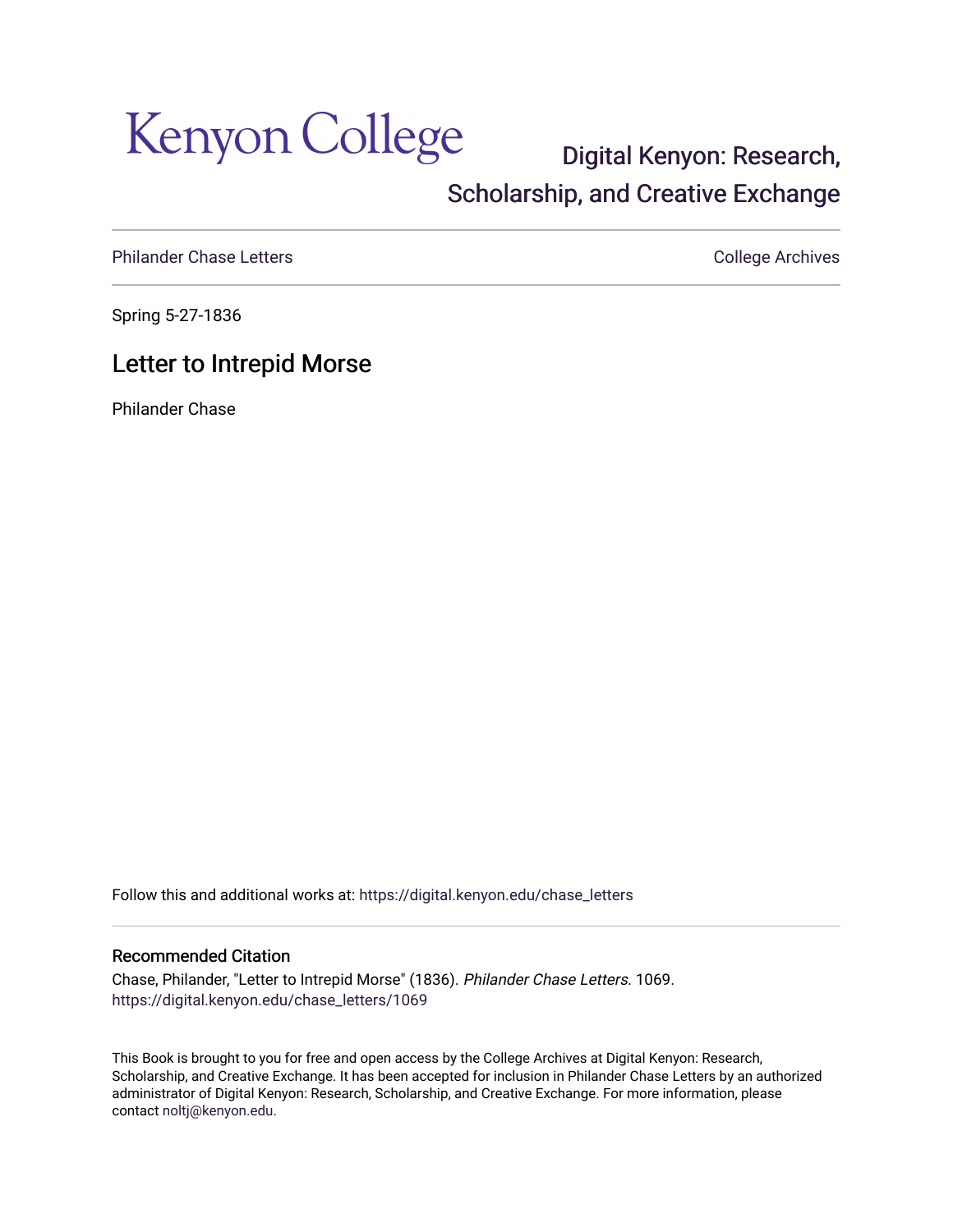## Kenyon College

## [Digital Kenyon: Research,](https://digital.kenyon.edu/)  [Scholarship, and Creative Exchange](https://digital.kenyon.edu/)

[Philander Chase Letters](https://digital.kenyon.edu/chase_letters) **College Archives** College Archives

Spring 5-27-1836

## Letter to Intrepid Morse

Philander Chase

Follow this and additional works at: [https://digital.kenyon.edu/chase\\_letters](https://digital.kenyon.edu/chase_letters?utm_source=digital.kenyon.edu%2Fchase_letters%2F1069&utm_medium=PDF&utm_campaign=PDFCoverPages)

## Recommended Citation

Chase, Philander, "Letter to Intrepid Morse" (1836). Philander Chase Letters. 1069. [https://digital.kenyon.edu/chase\\_letters/1069](https://digital.kenyon.edu/chase_letters/1069?utm_source=digital.kenyon.edu%2Fchase_letters%2F1069&utm_medium=PDF&utm_campaign=PDFCoverPages) 

This Book is brought to you for free and open access by the College Archives at Digital Kenyon: Research, Scholarship, and Creative Exchange. It has been accepted for inclusion in Philander Chase Letters by an authorized administrator of Digital Kenyon: Research, Scholarship, and Creative Exchange. For more information, please contact [noltj@kenyon.edu.](mailto:noltj@kenyon.edu)